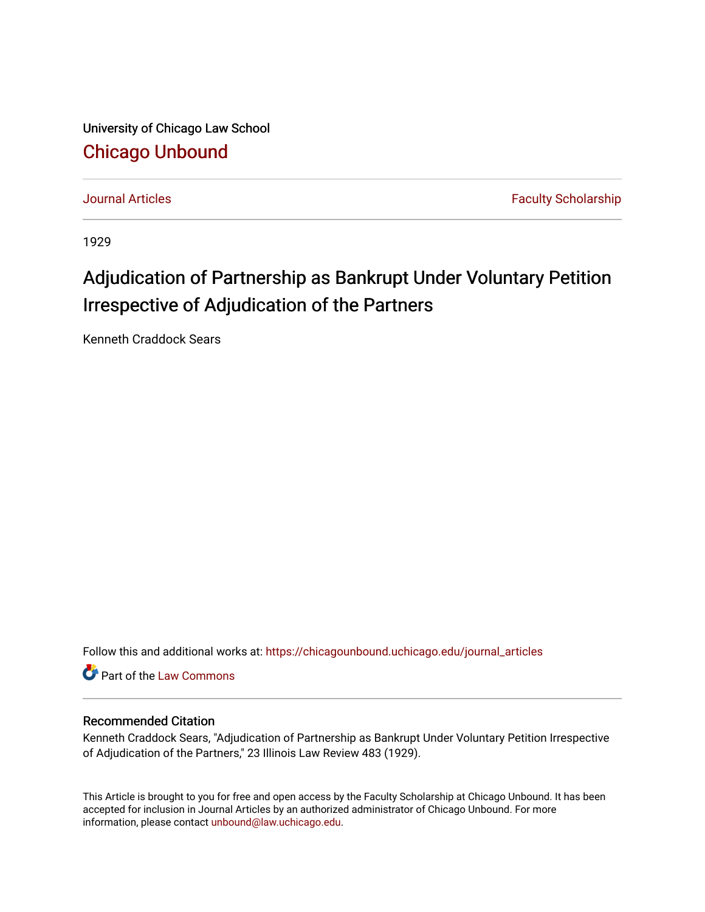University of Chicago Law School [Chicago Unbound](https://chicagounbound.uchicago.edu/)

[Journal Articles](https://chicagounbound.uchicago.edu/journal_articles) **Faculty Scholarship Journal Articles** 

1929

## Adjudication of Partnership as Bankrupt Under Voluntary Petition Irrespective of Adjudication of the Partners

Kenneth Craddock Sears

Follow this and additional works at: [https://chicagounbound.uchicago.edu/journal\\_articles](https://chicagounbound.uchicago.edu/journal_articles?utm_source=chicagounbound.uchicago.edu%2Fjournal_articles%2F8825&utm_medium=PDF&utm_campaign=PDFCoverPages) 

Part of the [Law Commons](http://network.bepress.com/hgg/discipline/578?utm_source=chicagounbound.uchicago.edu%2Fjournal_articles%2F8825&utm_medium=PDF&utm_campaign=PDFCoverPages)

## Recommended Citation

Kenneth Craddock Sears, "Adjudication of Partnership as Bankrupt Under Voluntary Petition Irrespective of Adjudication of the Partners," 23 Illinois Law Review 483 (1929).

This Article is brought to you for free and open access by the Faculty Scholarship at Chicago Unbound. It has been accepted for inclusion in Journal Articles by an authorized administrator of Chicago Unbound. For more information, please contact [unbound@law.uchicago.edu](mailto:unbound@law.uchicago.edu).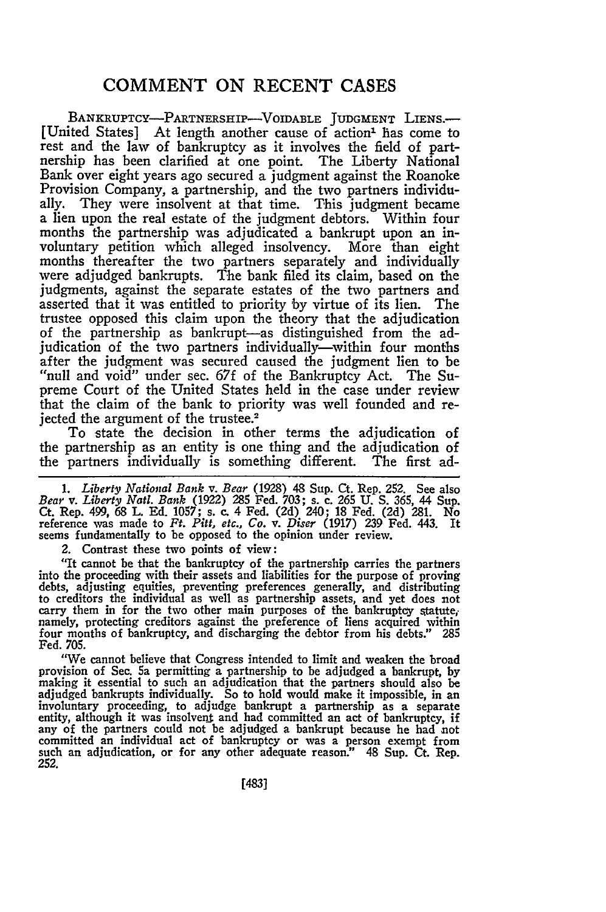## **COMMENT ON RECENT CASES**

BANKRUPTCY-PARTNERSHIP-VOIDABLE JUDGMENT LIENS. [United States] At length another cause of action<sup>1</sup> has come to rest and the law of bankruptcy as it involves the field of partnership has been clarified at one point. The Liberty National Bank over eight years ago secured a judgment against the Roanoke Provision Company, a partnership, and the two partners individually. They were insolvent at that time. This judgment became a lien upon the real estate of the judgment debtors. Within four months the partnership was adjudicated a bankrupt upon an involuntary petition which alleged insolvency. More than eight months thereafter the two partners separately and individually were adjudged bankrupts. The bank filed its claim, based on the judgments, against the separate estates of the two partners and asserted that it was entitled to priority by virtue of its lien. The trustee opposed this claim upon the theory that the adjudication of the partnership as bankrupt-as distinguished from the adjudication of the two partners individually—within four months after the judgment was secured caused the judgment lien to be "null and void" under sec. **67f** of the Bankruptcy Act. The Supreme Court of the United States held in the case under review that the claim of the bank to priority was well founded and rejected the argument of the trustee.<sup>2</sup>

To state the decision in other terms the adjudication of the partnership as an entity is one thing and the adjudication of the partners individually is something different. The first adthe partners individually is something different.

*1. Liberty National Bank v. Bear* (1928) 48 Sup. Ct. Rep. 252. See also *Bear v. Liberty Natt. Bank* (1922) 285 Fed. 703; s. c. **265 U. S.** 365, 44 Sup. Ct. Rep. 499, 68 L. Ed. 1057; s. c. 4 Fed. (2d) 240; 18 Fed. (2d) 281. No reference was made to *Ft. Pitt, etc., Co. v. Diser* (1917) 239 Fed. 443. It seems fundamentally to be opposed to the opinion under review.

2. Contrast these two points of view:

"It cannot be that the bankruptcy of the partnership carries the partners into the proceeding with their assets and liabilities for the purpose of proving debts, adjusting equities, preventing preferences generally, and distributing to creditors the individual as well as partnership assets, and yet does not carry them in for the two other main purposes of the bankruptcy statute, namely, protecting creditors against the preference of liens acquired within four months of bankruptcy, and discharging the debtor from his debts." 285 Fed. 705.

"We cannot believe that Congress intended to limit and weaken the broad provision of See. **5a** permitting a partnership to be adjudged a bankrupt, by making it essential to such an adjudication that the partners should also be adjudged bankrupts individually. So to hold would make it impossible, in an involuntary proceeding, to adjudge bankrupt a partnership as a separate entity, although it was insolvent and had committed an act of bankruptcy, if any of the partners could not be adjudged a bankrupt because he had not committed an individual act of bankruptcy or was a person exempt from such an adjudication, or for any other adequate reason" 48 Sup. Ct. Rep. **252.**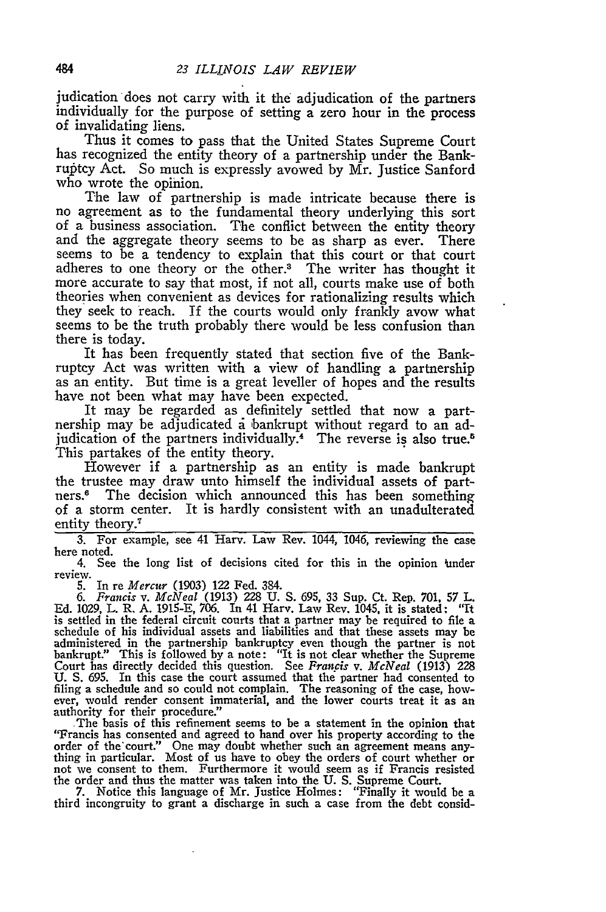judication does not carry with it the adjudication of the partners individually for the purpose of setting a zero hour in the process of invalidating liens.

Thus it comes to pass that the United States Supreme Court has recognized the entity theory of a partnership under the Bankruptcy Act. So much is expressly avowed by Mr. Justice Sanford who wrote the opinion.

The law of partnership is made intricate because there is no agreement as to the fundamental theory underlying this sort of a business association. The conflict between the entity theory and the aggregate theory seems to be as sharp as ever. There seems to be a tendency to explain that this court or that court adheres to one theory or the other.<sup>3</sup> The writer has thought it more accurate to say that most, if not all, courts make use of both theories when convenient as devices for rationalizing results which they seek to reach. If the courts would only frankly avow what seems to be the truth probably there would be less confusion than there is today.

It has been frequently stated that section five of the Bankruptcy Act was written with a view of handling a partnership as an entity. But time is a great leveller of hopes and the results have not been what may have been expected.

It may be regarded as definitely settled that now a partnership may be adjudicated a bankrupt without regard to an adjudication of the partners individually.<sup>4</sup> The reverse is also true. This partakes of the entity theory.

However if a partnership as an entity is made bankrupt the trustee may draw unto himself the individual assets of partners.6 The decision which announced this has been something of a storm center. It is hardly consistent with an unadulterated entity theory.<sup>7</sup>

3. For example, see 41 Harv. Law Rev. 1044, 1046, reviewing the case here noted.

4. See the long list of decisions cited for this in the opinion inder review.

5. In re *Mercur* (1903) 122 Fed. 384.

*6. Francis v. McNeal* (1913) 228 U. S. 695, 33 Sup. Ct. Rep. 701, 57 L. Ed. 1029, L. R. A. 1915-E, 706. In 41 Harv. Law Rev. 1045, it is stated: "It is settled in the federal circuit courts that a partner may be required to file a schedule of his individual assets and liabilities and that these assets may be administered in the partnership bankruptcy even though the pa bankrupt." This is followed by a note: "It is not clear whether the Supreme Court has directly decided this question. See *Francis v. McNeal* (1913) 228 U. *S.* 695. In this case the court assumed that the partner had consented to filing a schedule and so could not complain. The reasoning of the case, however, would render consent immaterial, and the lower courts treat it as an authority for their procedure." The basis of this refinement seems to be a statement in the opinion that

"Francis has consented and agreed to hand over his property according to the order of the'court." One may doubt whether such an agreement means anything in particular. Most of us have to obey the orders of court whether or not we consent to them. Furthermore it would seem as if Francis resisted

the order and thus the matter was taken into the U.S. Supreme Court.<br>7. Notice this language of Mr. Justice Holmes: "Finally it would be a<br>third incongruity to grant a discharge in such a case from the debt consid-